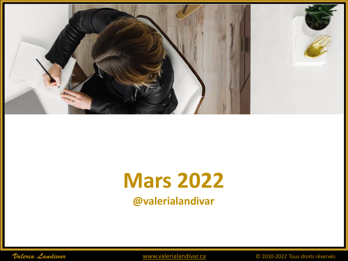

# **Mars 2022 @valerialandivar**

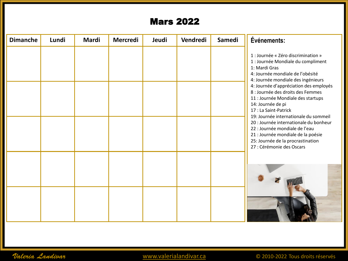| <b>Dimanche</b> | Lundi | Mardi | Mercredi | Jeudi | Vendredi | Samedi | Événements:                                                                                                                                                                                                                                                                                                                                                                      |
|-----------------|-------|-------|----------|-------|----------|--------|----------------------------------------------------------------------------------------------------------------------------------------------------------------------------------------------------------------------------------------------------------------------------------------------------------------------------------------------------------------------------------|
|                 |       |       |          |       |          |        |                                                                                                                                                                                                                                                                                                                                                                                  |
|                 |       |       |          |       |          |        | 1 : Journée « Zéro discrimination »<br>1 : Journée Mondiale du compliment<br>1: Mardi Gras<br>4: Journée mondiale de l'obésité<br>4: Journée mondiale des ingénieurs<br>4: Journée d'appréciation des employés<br>8 : Journée des droits des Femmes<br>11 : Journée Mondiale des startups<br>14: Journée de pi<br>17 : La Saint-Patrick<br>19: Journée internationale du sommeil |
|                 |       |       |          |       |          |        | 20 : Journée internationale du bonheur<br>22 : Journée mondiale de l'eau<br>21 : Journée mondiale de la poésie<br>25: Journée de la procrastination<br>27 : Cérémonie des Oscars                                                                                                                                                                                                 |
|                 |       |       |          |       |          |        |                                                                                                                                                                                                                                                                                                                                                                                  |

Valeria Landivar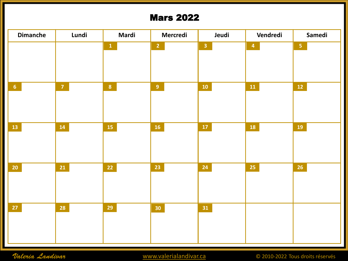

Valeria Landivar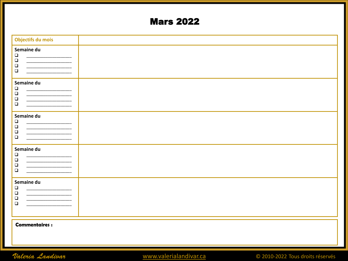| Objectifs du mois                                                                                                |  |
|------------------------------------------------------------------------------------------------------------------|--|
| Semaine du<br>$\Box$<br>$\Box$<br>$\Box$<br>$\Box$                                                               |  |
| Semaine du<br>$\Box$<br>_____________________<br>$\Box$<br>$\Box$<br>$\Box$                                      |  |
| Semaine du<br>$\Box$<br>$\Box$<br>$\Box$<br>$\Box$                                                               |  |
| Semaine du<br>$\Box$<br>$\Box$<br>$\Box$<br>$\Box$                                                               |  |
| Semaine du<br>$\Box$<br>$\Box$<br><u> 1980 - Jan James James, martin amerikan personal (</u><br>$\Box$<br>$\Box$ |  |
| <b>Commentaires:</b>                                                                                             |  |

Valeria Landivar

© 2010-2022 Tous droits réservés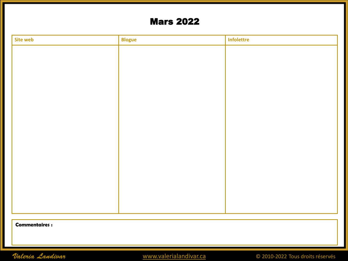| Site web | <b>Blogue</b> | Infolettre |
|----------|---------------|------------|
|          |               |            |
|          |               |            |
|          |               |            |
|          |               |            |
|          |               |            |
|          |               |            |
|          |               |            |
|          |               |            |
|          |               |            |
|          |               |            |
|          |               |            |
|          |               |            |
|          |               |            |
|          |               |            |
|          |               |            |
|          |               |            |

**Commentaires :**

Valeria Landivar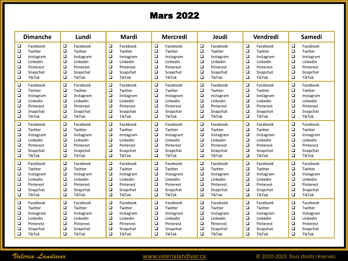| <b>Dimanche</b> | Lundi         | <b>Mardi</b>  | <b>Mercredi</b> | Jeudi         | Vendredi      | <b>Samedi</b> |
|-----------------|---------------|---------------|-----------------|---------------|---------------|---------------|
| $\Box$          | $\Box$        | $\Box$        | $\Box$          | $\Box$        | $\Box$        | ❏             |
| Facebook        | Facebook      | Facebook      | Facebook        | Facebook      | Facebook      | Facebook      |
| $\Box$          | $\Box$        | $\Box$        | $\Box$          | $\Box$        | $\Box$        | ❏             |
| Twitter         | Twitter       | Twitter       | Twitter         | Twitter       | Twitter       | Twitter       |
| □               | $\Box$        | □             | □               | □             | □             | □             |
| Instagram       | Instagram     | Instagram     | Instagram       | Instagram     | Instagram     | Instagram     |
| $\Box$          | $\Box$        | $\Box$        | $\Box$          | $\Box$        | $\Box$        | $\Box$        |
| Linkedin        | Linkedin      | Linkedin      | Linkedin        | Linkedin      | Linkedin      | Linkedin      |
| $\Box$          | $\Box$        | $\Box$        | $\Box$          | $\Box$        | $\Box$        | $\Box$        |
| Pinterest       | Pinterest     | Pinterest     | Pinterest       | Pinterest     | Pinterest     | Pinterest     |
| $\Box$          | $\Box$        | $\Box$        | $\Box$          | $\Box$        | $\Box$        | $\Box$        |
| Snapchat        | Snapchat      | Snapchat      | Snapchat        | Snapchat      | Snapchat      | Snapchat      |
| $\Box$          | $\Box$        | $\Box$        | $\Box$          | $\Box$        | $\Box$        | $\Box$        |
| <b>TikTok</b>   | <b>TikTok</b> | <b>TikTok</b> | <b>TikTok</b>   | <b>TikTok</b> | <b>TikTok</b> | <b>TikTok</b> |
| $\Box$          | $\Box$        | $\Box$        | $\Box$          | $\Box$        | $\Box$        | $\Box$        |
| Facebook        | Facebook      | Facebook      | Facebook        | Facebook      | Facebook      | Facebook      |
| $\Box$          | $\Box$        | $\Box$        | $\Box$          | $\Box$        | $\Box$        | $\Box$        |
| Twitter         | Twitter       | Twitter       | Twitter         | Twitter       | Twitter       | Twitter       |
| $\Box$          | $\Box$        | $\Box$        | $\Box$          | $\Box$        | $\Box$        | $\Box$        |
| Instagram       | Instagram     | Instagram     | Instagram       | Instagram     | Instagram     | Instagram     |
| $\Box$          | $\Box$        | $\Box$        | $\Box$          | $\Box$        | $\Box$        | $\Box$        |
| Linkedin        | Linkedin      | Linkedin      | Linkedin        | Linkedin      | Linkedin      | Linkedin      |
| $\Box$          | $\Box$        | $\Box$        | $\Box$          | $\Box$        | $\Box$        | $\Box$        |
| Pinterest       | Pinterest     | Pinterest     | Pinterest       | Pinterest     | Pinterest     | Pinterest     |
| $\Box$          | $\Box$        | $\Box$        | $\Box$          | $\Box$        | $\Box$        | $\Box$        |
| Snapchat        | Snapchat      | Snapchat      | Snapchat        | Snapchat      | Snapchat      | Snapchat      |
| $\Box$          | $\Box$        | $\Box$        | $\Box$          | $\Box$        | $\Box$        | $\Box$        |
| TikTok          | <b>TikTok</b> | <b>TikTok</b> | <b>TikTok</b>   | <b>TikTok</b> | <b>TikTok</b> | <b>TikTok</b> |
| $\Box$          | $\Box$        | $\Box$        | $\Box$          | $\Box$        | $\Box$        | $\Box$        |
| Facebook        | Facebook      | Facebook      | Facebook        | Facebook      | Facebook      | Facebook      |
| $\Box$          | $\Box$        | $\Box$        | $\Box$          | $\Box$        | $\Box$        | $\Box$        |
| Twitter         | Twitter       | Twitter       | Twitter         | Twitter       | Twitter       | Twitter       |
| $\Box$          | $\Box$        | $\Box$        | $\Box$          | $\Box$        | $\Box$        | $\Box$        |
| Instagram       | Instagram     | Instagram     | Instagram       | Instagram     | Instagram     | Instagram     |
| $\Box$          | $\Box$        | $\Box$        | $\Box$          | $\Box$        | $\Box$        | $\Box$        |
| Linkedin        | Linkedin      | Linkedin      | Linkedin        | Linkedin      | Linkedin      | Linkedin      |
| $\Box$          | $\Box$        | $\Box$        | $\Box$          | $\Box$        | $\Box$        | $\Box$        |
| Pinterest       | Pinterest     | Pinterest     | Pinterest       | Pinterest     | Pinterest     | Pinterest     |
| $\Box$          | $\Box$        | $\Box$        | $\Box$          | $\Box$        | $\Box$        | $\Box$        |
| Snapchat        | Snapchat      | Snapchat      | Snapchat        | Snapchat      | Snapchat      | Snapchat      |
| $\square$       | $\Box$        | $\Box$        | $\Box$          | $\Box$        | $\Box$        | $\Box$        |
| <b>TikTok</b>   | <b>TikTok</b> | <b>TikTok</b> | <b>TikTok</b>   | <b>TikTok</b> | <b>TikTok</b> | <b>TikTok</b> |
| $\Box$          | □             | $\Box$        | $\Box$          | $\Box$        | $\Box$        | □             |
| Facebook        | Facebook      | Facebook      | Facebook        | Facebook      | Facebook      | Facebook      |
| $\Box$          | $\Box$        | $\Box$        | $\Box$          | $\Box$        | $\Box$        | $\Box$        |
| Twitter         | Twitter       | Twitter       | Twitter         | Twitter       | Twitter       | Twitter       |
| $\Box$          | $\Box$        | $\Box$        | $\Box$          | $\Box$        | $\Box$        | $\Box$        |
| Instagram       | Instagram     | Instagram     | Instagram       | Instagram     | Instagram     | Instagram     |
| $\Box$          | $\Box$        | $\Box$        | $\Box$          | $\Box$        | $\Box$        | $\Box$        |
| Linkedin        | Linkedin      | Linkedin      | Linkedin        | Linkedin      | Linkedin      | Linkedin      |
| $\Box$          | $\Box$        | $\Box$        | $\Box$          | $\Box$        | $\Box$        | $\Box$        |
| Pinterest       | Pinterest     | Pinterest     | Pinterest       | Pinterest     | Pinterest     | Pinterest     |
| $\Box$          | $\Box$        | $\Box$        | $\Box$          | $\Box$        | $\Box$        | $\Box$        |
| Snapchat        | Snapchat      | Snapchat      | Snapchat        | Snapchat      | Snapchat      | Snapchat      |
| $\Box$          | $\Box$        | $\Box$        | $\Box$          | $\Box$        | $\Box$        | $\Box$        |
| TikTok          | <b>TikTok</b> | <b>TikTok</b> | <b>TikTok</b>   | <b>TikTok</b> | <b>TikTok</b> | <b>TikTok</b> |
| $\Box$          | $\Box$        | $\Box$        | $\Box$          | □             | $\Box$        | ❏             |
| Facebook        | Facebook      | Facebook      | Facebook        | Facebook      | Facebook      | Facebook      |
| $\Box$          | $\Box$        | $\Box$        | $\Box$          | $\Box$        | $\Box$        | □             |
| Twitter         | Twitter       | Twitter       | Twitter         | Twitter       | Twitter       | Twitter       |
| $\Box$          | $\Box$        | $\Box$        | $\Box$          | $\Box$        | $\Box$        | $\Box$        |
| Instagram       | Instagram     | Instagram     | Instagram       | Instagram     | Instagram     | Instagram     |
| $\Box$          | $\Box$        | $\Box$        | $\Box$          | $\Box$        | $\Box$        | $\Box$        |
| Linkedin        | Linkedin      | Linkedin      | Linkedin        | Linkedin      | Linkedin      | Linkedin      |
| $\Box$          | $\Box$        | $\Box$        | $\Box$          | $\Box$        | $\Box$        | $\Box$        |
| Pinterest       | Pinterest     | Pinterest     | Pinterest       | Pinterest     | Pinterest     | Pinterest     |
| $\Box$          | $\Box$        | $\Box$        | $\Box$          | □             | $\Box$        | $\Box$        |
| Snapchat        | Snapchat      | Snapchat      | Snapchat        | Snapchat      | Snapchat      | Snapchat      |
| $\Box$          | $\Box$        | $\Box$        | $\Box$          | $\Box$        | $\Box$        | $\Box$        |
| TikTok          | <b>TikTok</b> | <b>TikTok</b> | <b>TikTok</b>   | <b>TikTok</b> | <b>TikTok</b> | <b>TikTok</b> |

### Valeria Landivar